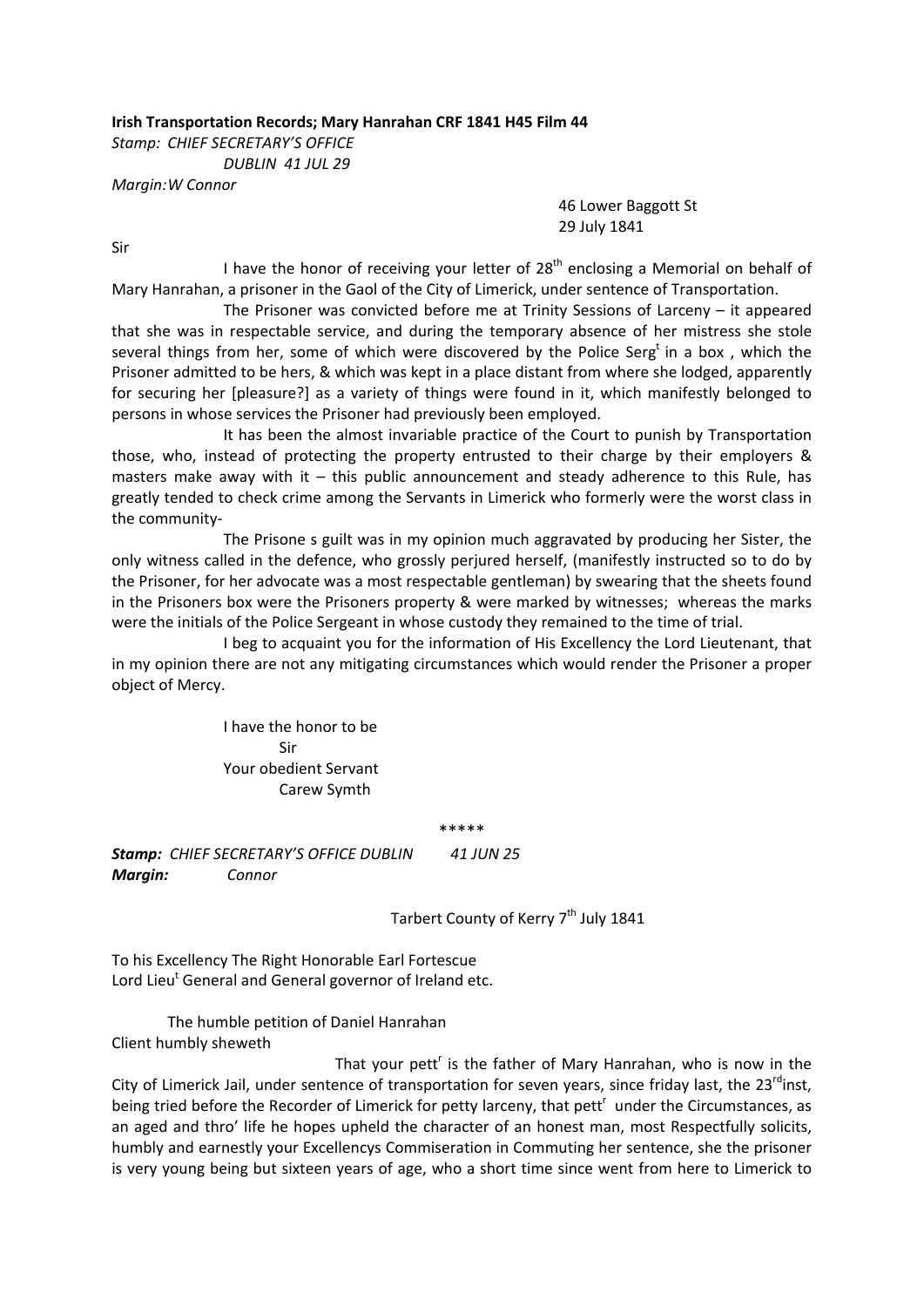## **Irish Transportation Records; Mary Hanrahan CRF 1841 H45 Film 44**

*Stamp: CHIEF SECRETARY'S OFFICE DUBLIN 41 JUL 29 Margin:W Connor*

> 46 Lower Baggott St 29 July 1841

Sir

I have the honor of receiving your letter of  $28<sup>th</sup>$  enclosing a Memorial on behalf of Mary Hanrahan, a prisoner in the Gaol of the City of Limerick, under sentence of Transportation.

 The Prisoner was convicted before me at Trinity Sessions of Larceny – it appeared that she was in respectable service, and during the temporary absence of her mistress she stole several things from her, some of which were discovered by the Police Serg<sup>t</sup> in a box, which the Prisoner admitted to be hers, & which was kept in a place distant from where she lodged, apparently for securing her [pleasure?] as a variety of things were found in it, which manifestly belonged to persons in whose services the Prisoner had previously been employed.

 It has been the almost invariable practice of the Court to punish by Transportation those, who, instead of protecting the property entrusted to their charge by their employers & masters make away with it  $-$  this public announcement and steady adherence to this Rule, has greatly tended to check crime among the Servants in Limerick who formerly were the worst class in the community‐

 The Prisone s guilt was in my opinion much aggravated by producing her Sister, the only witness called in the defence, who grossly perjured herself, (manifestly instructed so to do by the Prisoner, for her advocate was a most respectable gentleman) by swearing that the sheets found in the Prisoners box were the Prisoners property & were marked by witnesses; whereas the marks were the initials of the Police Sergeant in whose custody they remained to the time of trial.

 I beg to acquaint you for the information of His Excellency the Lord Lieutenant, that in my opinion there are not any mitigating circumstances which would render the Prisoner a proper object of Mercy.

 I have the honor to be Sir Your obedient Servant Carew Symth

\*\*\*\*\*

*Stamp: CHIEF SECRETARY'S OFFICE DUBLIN 41 JUN 25 Margin: Connor*

Tarbert County of Kerry 7<sup>th</sup> July 1841

To his Excellency The Right Honorable Earl Fortescue Lord Lieu<sup>t</sup> General and General governor of Ireland etc.

The humble petition of Daniel Hanrahan Client humbly sheweth

That your pett<sup> $r$ </sup> is the father of Mary Hanrahan, who is now in the City of Limerick Jail, under sentence of transportation for seven years, since friday last, the 23<sup>rd</sup>inst, being tried before the Recorder of Limerick for petty larceny, that pett<sup>r</sup>under the Circumstances, as an aged and thro' life he hopes upheld the character of an honest man, most Respectfully solicits, humbly and earnestly your Excellencys Commiseration in Commuting her sentence, she the prisoner is very young being but sixteen years of age, who a short time since went from here to Limerick to